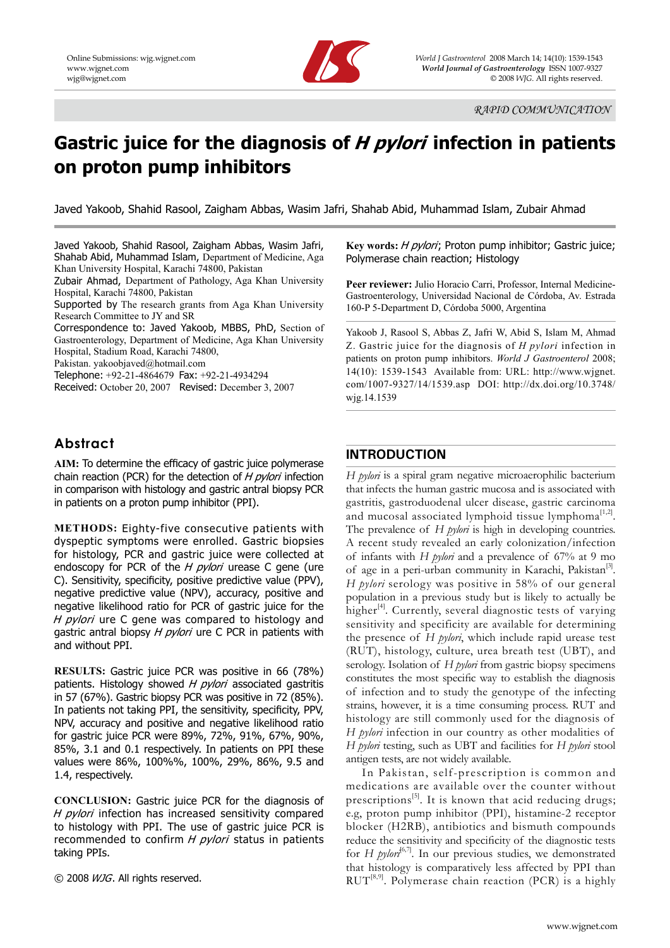

# **Gastric juice for the diagnosis of H pylori infection in patients on proton pump inhibitors**

Javed Yakoob, Shahid Rasool, Zaigham Abbas, Wasim Jafri, Shahab Abid, Muhammad Islam, Zubair Ahmad

Javed Yakoob, Shahid Rasool, Zaigham Abbas, Wasim Jafri, Shahab Abid, Muhammad Islam, Department of Medicine, Aga Khan University Hospital, Karachi 74800, Pakistan

Zubair Ahmad, Department of Pathology, Aga Khan University Hospital, Karachi 74800, Pakistan

Supported by The research grants from Aga Khan University Research Committee to JY and SR

Correspondence to: Javed Yakoob, MBBS, PhD, Section of Gastroenterology, Department of Medicine, Aga Khan University Hospital, Stadium Road, Karachi 74800,

Pakistan. yakoobjaved@hotmail.com

Telephone: +92-21-4864679 Fax: +92-21-4934294

Received: October 20, 2007 Revised: December 3, 2007

# **Abstract**

**AIM:** To determine the efficacy of gastric juice polymerase chain reaction (PCR) for the detection of  $H$  pylori infection in comparison with histology and gastric antral biopsy PCR in patients on a proton pump inhibitor (PPI).

**METHODS:** Eighty-five consecutive patients with dyspeptic symptoms were enrolled. Gastric biopsies for histology, PCR and gastric juice were collected at endoscopy for PCR of the  $H$  pylori urease C gene (ure C). Sensitivity, specificity, positive predictive value (PPV), negative predictive value (NPV), accuracy, positive and negative likelihood ratio for PCR of gastric juice for the H pylori ure C gene was compared to histology and gastric antral biopsy H pylori ure C PCR in patients with and without PPI.

**RESULTS:** Gastric juice PCR was positive in 66 (78%) patients. Histology showed  $H$  *pylori* associated gastritis in 57 (67%). Gastric biopsy PCR was positive in 72 (85%). In patients not taking PPI, the sensitivity, specificity, PPV, NPV, accuracy and positive and negative likelihood ratio for gastric juice PCR were 89%, 72%, 91%, 67%, 90%, 85%, 3.1 and 0.1 respectively. In patients on PPI these values were 86%, 100%%, 100%, 29%, 86%, 9.5 and 1.4, respectively.

**CONCLUSION:** Gastric juice PCR for the diagnosis of H pylori infection has increased sensitivity compared to histology with PPI. The use of gastric juice PCR is recommended to confirm  $H$  *pylori* status in patients taking PPIs.

© 2008 WJG. All rights reserved.

**Key words:** H pylori; Proton pump inhibitor; Gastric juice; Polymerase chain reaction; Histology

**Peer reviewer:** Julio Horacio Carri, Professor, Internal Medicine-Gastroenterology, Universidad Nacional de Córdoba, Av. Estrada 160-P 5-Department D, Córdoba 5000, Argentina

Yakoob J, Rasool S, Abbas Z, Jafri W, Abid S, Islam M, Ahmad Z. Gastric juice for the diagnosis of *H pylori* infection in patients on proton pump inhibitors. *World J Gastroenterol* 2008; 14(10): 1539-1543 Available from: URL: http://www.wjgnet. com/1007-9327/14/1539.asp DOI: http://dx.doi.org/10.3748/ wjg.14.1539

## **INTRODUCTION**

*H pylori* is a spiral gram negative microaerophilic bacterium that infects the human gastric mucosa and is associated with gastritis, gastroduodenal ulcer disease, gastric carcinoma and mucosal associated lymphoid tissue lymphoma $[1,2]$ . The prevalence of *H pylori* is high in developing countries. A recent study revealed an early colonization/infection of infants with *H pylori* and a prevalence of 67% at 9 mo of age in a peri-urban community in Karachi, Pakistan<sup>[3]</sup>. *H pylori* serology was positive in 58% of our general population in a previous study but is likely to actually be higher<sup>[4]</sup>. Currently, several diagnostic tests of varying sensitivity and specificity are available for determining the presence of *H pylori*, which include rapid urease test (RUT), histology, culture, urea breath test (UBT), and serology. Isolation of *H pylori* from gastric biopsy specimens constitutes the most specific way to establish the diagnosis of infection and to study the genotype of the infecting strains, however, it is a time consuming process. RUT and histology are still commonly used for the diagnosis of *H pylori* infection in our country as other modalities of *H pylori* testing, such as UBT and facilities for *H pylori* stool antigen tests, are not widely available.

In Pakistan, self-prescription is common and medications are available over the counter without prescriptions<sup>[5]</sup>. It is known that acid reducing drugs; e.g, proton pump inhibitor (PPI), histamine-2 receptor blocker (H2RB), antibiotics and bismuth compounds reduce the sensitivity and specificity of the diagnostic tests for *H pylon*<sup>[6,7]</sup>. In our previous studies, we demonstrated that histology is comparatively less affected by PPI than  $RUT^{[8,9]}$ . Polymerase chain reaction (PCR) is a highly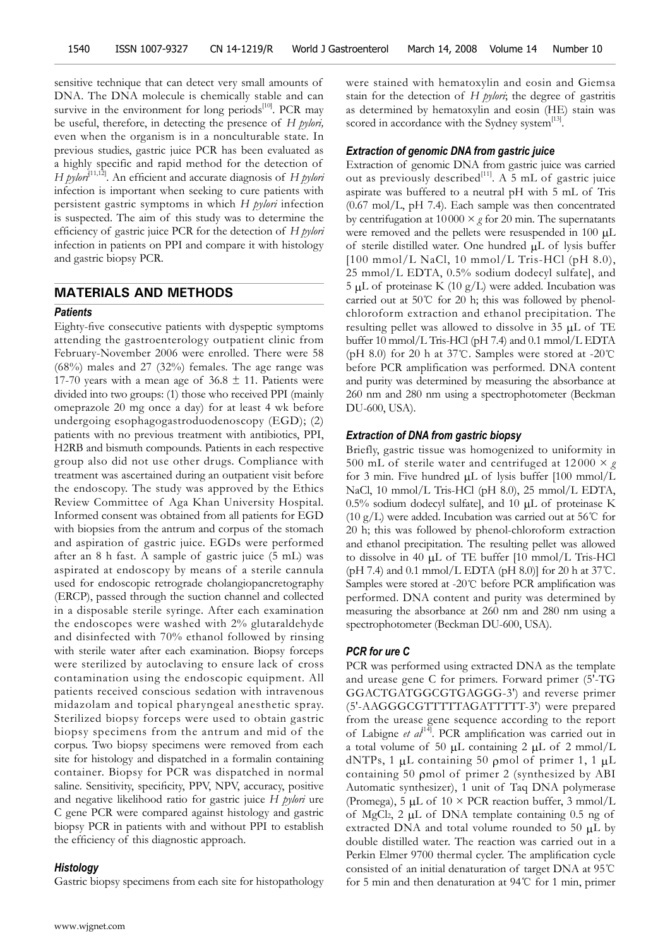sensitive technique that can detect very small amounts of DNA. The DNA molecule is chemically stable and can survive in the environment for long periods $[10]$ . PCR may be useful, therefore, in detecting the presence of *H pylori,*  even when the organism is in a nonculturable state. In previous studies, gastric juice PCR has been evaluated as a highly specific and rapid method for the detection of *H pylori*<sup>[11,12</sup>]. An efficient and accurate diagnosis of *H pylori* infection is important when seeking to cure patients with persistent gastric symptoms in which *H pylori* infection is suspected. The aim of this study was to determine the efficiency of gastric juice PCR for the detection of *H pylori*  infection in patients on PPI and compare it with histology and gastric biopsy PCR.

## **MATERIALS AND METHODS**

## *Patients*

Eighty-five consecutive patients with dyspeptic symptoms attending the gastroenterology outpatient clinic from February-November 2006 were enrolled. There were 58 (68%) males and 27 (32%) females. The age range was 17-70 years with a mean age of  $36.8 \pm 11$ . Patients were divided into two groups: (1) those who received PPI (mainly omeprazole 20 mg once a day) for at least 4 wk before undergoing esophagogastroduodenoscopy (EGD); (2) patients with no previous treatment with antibiotics, PPI, H2RB and bismuth compounds. Patients in each respective group also did not use other drugs. Compliance with treatment was ascertained during an outpatient visit before the endoscopy. The study was approved by the Ethics Review Committee of Aga Khan University Hospital. Informed consent was obtained from all patients for EGD with biopsies from the antrum and corpus of the stomach and aspiration of gastric juice. EGDs were performed after an 8 h fast. A sample of gastric juice (5 mL) was aspirated at endoscopy by means of a sterile cannula used for endoscopic retrograde cholangiopancretography (ERCP), passed through the suction channel and collected in a disposable sterile syringe. After each examination the endoscopes were washed with 2% glutaraldehyde and disinfected with 70% ethanol followed by rinsing with sterile water after each examination. Biopsy forceps were sterilized by autoclaving to ensure lack of cross contamination using the endoscopic equipment. All patients received conscious sedation with intravenous midazolam and topical pharyngeal anesthetic spray. Sterilized biopsy forceps were used to obtain gastric biopsy specimens from the antrum and mid of the corpus. Two biopsy specimens were removed from each site for histology and dispatched in a formalin containing container. Biopsy for PCR was dispatched in normal saline. Sensitivity, specificity, PPV, NPV, accuracy, positive and negative likelihood ratio for gastric juice *H pylori* ure C gene PCR were compared against histology and gastric biopsy PCR in patients with and without PPI to establish the efficiency of this diagnostic approach.

#### *Histology*

Gastric biopsy specimens from each site for histopathology

were stained with hematoxylin and eosin and Giemsa stain for the detection of *H pylori*; the degree of gastritis as determined by hematoxylin and eosin (HE) stain was scored in accordance with the Sydney system<sup>[13]</sup>.

#### *Extraction of genomic DNA from gastric juice*

Extraction of genomic DNA from gastric juice was carried out as previously described<sup>[11]</sup>. A 5 mL of gastric juice aspirate was buffered to a neutral pH with 5 mL of Tris (0.67 mol/L, pH 7.4). Each sample was then concentrated by centrifugation at 10000 × *g* for 20 min. The supernatants were removed and the pellets were resuspended in 100 μL of sterile distilled water. One hundred μL of lysis buffer [100 mmol/L NaCl, 10 mmol/L Tris-HCl (pH 8.0), 25 mmol/L EDTA, 0.5% sodium dodecyl sulfate], and 5 μL of proteinase K (10 g/L) were added. Incubation was carried out at 50℃ for 20 h; this was followed by phenolchloroform extraction and ethanol precipitation. The resulting pellet was allowed to dissolve in 35 μL of TE buffer 10 mmol/L Tris-HCl (pH 7.4) and 0.1 mmol/L EDTA (pH 8.0) for 20 h at 37℃. Samples were stored at -20℃ before PCR amplification was performed. DNA content and purity was determined by measuring the absorbance at 260 nm and 280 nm using a spectrophotometer (Beckman DU-600, USA).

## *Extraction of DNA from gastric biopsy*

Briefly, gastric tissue was homogenized to uniformity in 500 mL of sterile water and centrifuged at  $12000 \times g$ for 3 min. Five hundred μL of lysis buffer [100 mmol/L NaCl, 10 mmol/L Tris-HCl (pH 8.0), 25 mmol/L EDTA, 0.5% sodium dodecyl sulfate], and 10 μL of proteinase K (10 g/L) were added. Incubation was carried out at 56°C for 20 h; this was followed by phenol-chloroform extraction and ethanol precipitation. The resulting pellet was allowed to dissolve in 40 μL of TE buffer [10 mmol/L Tris-HCl (pH 7.4) and 0.1 mmol/L EDTA (pH 8.0)] for 20 h at 37°C. Samples were stored at -20℃ before PCR amplification was performed. DNA content and purity was determined by measuring the absorbance at 260 nm and 280 nm using a spectrophotometer (Beckman DU-600, USA).

#### *PCR for ure C*

PCR was performed using extracted DNA as the template and urease gene C for primers. Forward primer (5'-TG GGACTGATGGCGTGAGGG-3') and reverse primer (5'-AAGGGCGTTTTTAGATTTTT-3') were prepared from the urease gene sequence according to the report of Labigne *et al*[14]. PCR amplification was carried out in a total volume of 50  $\mu$ L containing 2  $\mu$ L of 2 mmol/L dNTPs, 1 μL containing 50 ρmol of primer 1, 1 μL containing 50 ρmol of primer 2 (synthesized by ABI Automatic synthesizer), 1 unit of Taq DNA polymerase (Promega), 5  $\mu$ L of 10 × PCR reaction buffer, 3 mmol/L of MgCl2, 2 μL of DNA template containing 0.5 ng of extracted DNA and total volume rounded to 50  $\mu$ L by double distilled water. The reaction was carried out in a Perkin Elmer 9700 thermal cycler. The amplification cycle consisted of an initial denaturation of target DNA at 95℃ for 5 min and then denaturation at 94℃ for 1 min, primer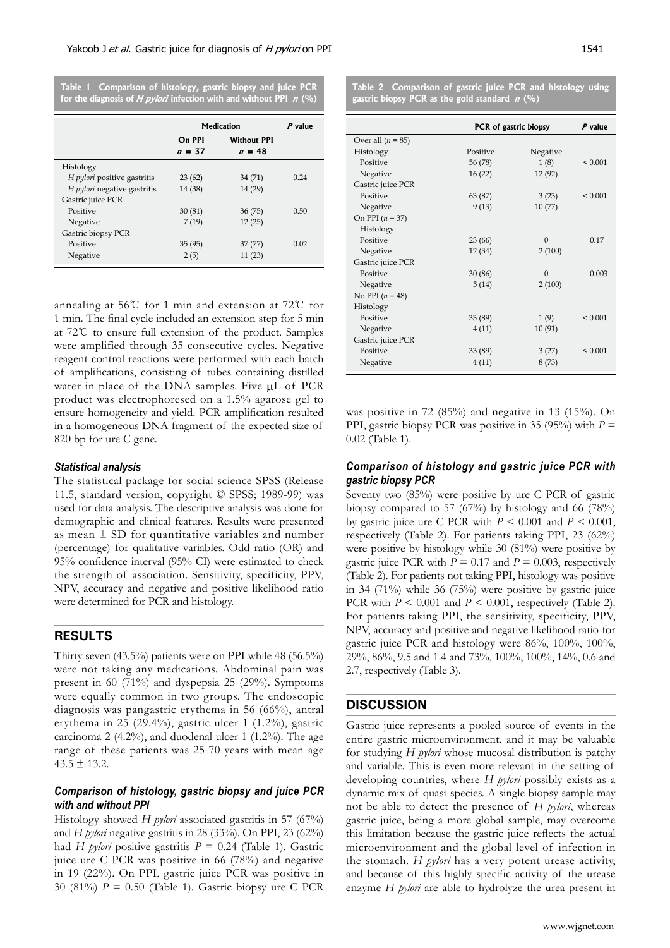|  |  | Table 1 Comparison of histology, gastric biopsy and juice PCR               |
|--|--|-----------------------------------------------------------------------------|
|  |  | for the diagnosis of <i>H pylori</i> infection with and without PPI $n$ (%) |

| <b>Medication</b> |                    | $P$ value |
|-------------------|--------------------|-----------|
| On PPI            | <b>Without PPI</b> |           |
| $n = 37$          | $n = 48$           |           |
|                   |                    |           |
| 23(62)            | 34 (71)            | 0.24      |
| 14 (38)           | 14 (29)            |           |
|                   |                    |           |
| 30(81)            | 36(75)             | 0.50      |
| 7(19)             | 12(25)             |           |
|                   |                    |           |
| 35(95)            | 37 (77)            | 0.02      |
| 2(5)              | 11(23)             |           |
|                   |                    |           |

annealing at 56℃ for 1 min and extension at 72℃ for 1 min. The final cycle included an extension step for 5 min at 72℃ to ensure full extension of the product. Samples were amplified through 35 consecutive cycles. Negative reagent control reactions were performed with each batch of amplifications, consisting of tubes containing distilled water in place of the DNA samples. Five μL of PCR product was electrophoresed on a 1.5% agarose gel to ensure homogeneity and yield. PCR amplification resulted in a homogeneous DNA fragment of the expected size of 820 bp for ure C gene.

## *Statistical analysis*

The statistical package for social science SPSS (Release 11.5, standard version, copyright © SPSS; 1989-99) was used for data analysis. The descriptive analysis was done for demographic and clinical features. Results were presented as mean  $\pm$  SD for quantitative variables and number (percentage) for qualitative variables. Odd ratio (OR) and 95% confidence interval (95% CI) were estimated to check the strength of association. Sensitivity, specificity, PPV, NPV, accuracy and negative and positive likelihood ratio were determined for PCR and histology.

## **RESULTS**

Thirty seven (43.5%) patients were on PPI while 48 (56.5%) were not taking any medications. Abdominal pain was present in 60 (71%) and dyspepsia 25 (29%). Symptoms were equally common in two groups. The endoscopic diagnosis was pangastric erythema in 56 (66%), antral erythema in 25 (29.4%), gastric ulcer 1 (1.2%), gastric carcinoma 2 (4.2%), and duodenal ulcer 1 (1.2%). The age range of these patients was 25-70 years with mean age  $43.5 \pm 13.2$ .

## *Comparison of histology, gastric biopsy and juice PCR with and without PPI*

Histology showed *H pylori* associated gastritis in 57 (67%) and *H pylori* negative gastritis in 28 (33%). On PPI, 23 (62%) had *H pylori* positive gastritis  $P = 0.24$  (Table 1). Gastric juice ure C PCR was positive in 66 (78%) and negative in 19 (22%). On PPI, gastric juice PCR was positive in 30 (81%) *P* = 0.50 (Table 1). Gastric biopsy ure C PCR **Table 2 Comparison of gastric juice PCR and histology using gastric biopsy PCR as the gold standard n (%)**

|                     | <b>PCR</b> of gastric biopsy | $P$ value    |              |
|---------------------|------------------------------|--------------|--------------|
| Over all $(n = 85)$ |                              |              |              |
| Histology           | Positive                     | Negative     |              |
| Positive            | 56 (78)                      | 1(8)         | ${}_{0.001}$ |
| Negative            | 16(22)                       | 12 (92)      |              |
| Gastric juice PCR   |                              |              |              |
| Positive            | 63 (87)                      | 3(23)        | ${}_{0.001}$ |
| Negative            | 9(13)                        | 10(77)       |              |
| On PPI $(n = 37)$   |                              |              |              |
| Histology           |                              |              |              |
| Positive            | 23(66)                       | $\mathbf{0}$ | 0.17         |
| Negative            | 12(34)                       | 2(100)       |              |
| Gastric juice PCR   |                              |              |              |
| Positive            | 30(86)                       | $\Omega$     | 0.003        |
| Negative            | 5(14)                        | 2(100)       |              |
| No PPI $(n = 48)$   |                              |              |              |
| Histology           |                              |              |              |
| Positive            | 33 (89)                      | 1(9)         | ${}_{0.001}$ |
| Negative            | 4(11)                        | 10(91)       |              |
| Gastric juice PCR   |                              |              |              |
| Positive            | 33 (89)                      | 3(27)        | ${}_{0.001}$ |
| Negative            | 4(11)                        | 8(73)        |              |

was positive in 72 (85%) and negative in 13 (15%). On PPI, gastric biopsy PCR was positive in 35 (95%) with  $P =$ 0.02 (Table 1).

## *Comparison of histology and gastric juice PCR with gastric biopsy PCR*

Seventy two (85%) were positive by ure C PCR of gastric biopsy compared to 57  $(67%)$  by histology and 66  $(78%)$ by gastric juice ure C PCR with  $P \le 0.001$  and  $P \le 0.001$ , respectively (Table 2). For patients taking PPI, 23 (62%) were positive by histology while 30 (81%) were positive by gastric juice PCR with  $P = 0.17$  and  $P = 0.003$ , respectively (Table 2). For patients not taking PPI, histology was positive in 34 (71%) while 36 (75%) were positive by gastric juice PCR with  $P \le 0.001$  and  $P \le 0.001$ , respectively (Table 2). For patients taking PPI, the sensitivity, specificity, PPV, NPV, accuracy and positive and negative likelihood ratio for gastric juice PCR and histology were 86%, 100%, 100%, 29%, 86%, 9.5 and 1.4 and 73%, 100%, 100%, 14%, 0.6 and 2.7, respectively (Table 3).

## **DISCUSSION**

Gastric juice represents a pooled source of events in the entire gastric microenvironment, and it may be valuable for studying *H pylori* whose mucosal distribution is patchy and variable. This is even more relevant in the setting of developing countries, where *H pylori* possibly exists as a dynamic mix of quasi-species. A single biopsy sample may not be able to detect the presence of *H pylori*, whereas gastric juice, being a more global sample, may overcome this limitation because the gastric juice reflects the actual microenvironment and the global level of infection in the stomach. *H pylori* has a very potent urease activity, and because of this highly specific activity of the urease enzyme *H pylori* are able to hydrolyze the urea present in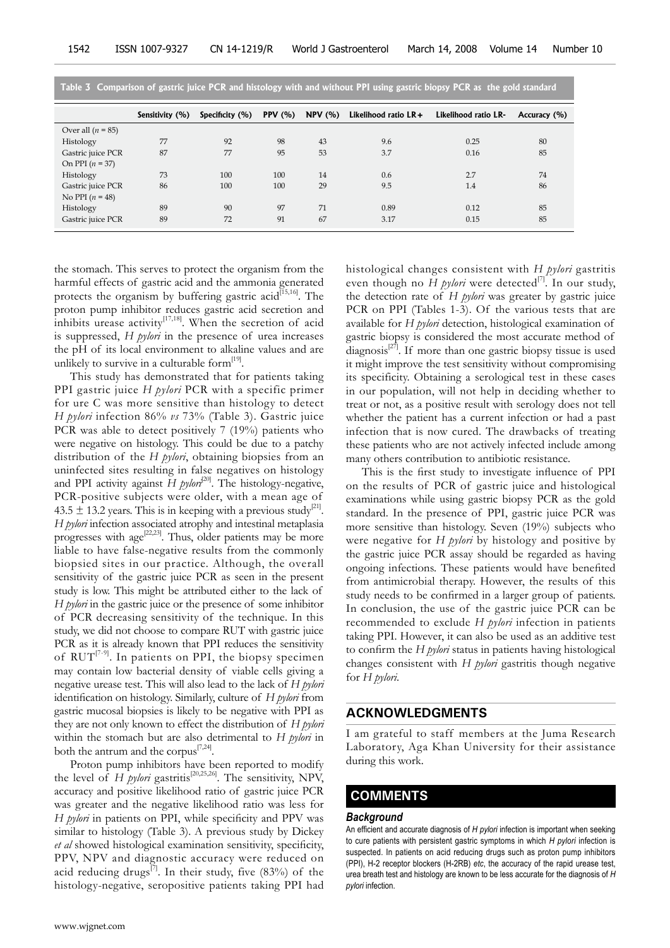| Table 3 Comparison of gastric juice PCR and histology with and without PPI using gastric biopsy PCR as the gold standard |                 |                 |                |        |                      |                      |              |
|--------------------------------------------------------------------------------------------------------------------------|-----------------|-----------------|----------------|--------|----------------------|----------------------|--------------|
|                                                                                                                          | Sensitivity (%) | Specificity (%) | <b>PPV</b> (%) | NPV(%) | Likelihood ratio LR+ | Likelihood ratio LR- | Accuracy (%) |
| Over all $(n = 85)$                                                                                                      |                 |                 |                |        |                      |                      |              |
| Histology                                                                                                                | 77              | 92              | 98             | 43     | 9.6                  | 0.25                 | 80           |
| Gastric juice PCR                                                                                                        | 87              | 77              | 95             | 53     | 3.7                  | 0.16                 | 85           |
| On PPI $(n = 37)$                                                                                                        |                 |                 |                |        |                      |                      |              |
| Histology                                                                                                                | 73              | 100             | 100            | 14     | 0.6                  | 2.7                  | 74           |
| Gastric juice PCR                                                                                                        | 86              | 100             | 100            | 29     | 9.5                  | 1.4                  | 86           |
| No PPI $(n = 48)$                                                                                                        |                 |                 |                |        |                      |                      |              |
| Histology                                                                                                                | 89              | 90              | 97             | 71     | 0.89                 | 0.12                 | 85           |
| Gastric juice PCR                                                                                                        | 89              | 72              | 91             | 67     | 3.17                 | 0.15                 | 85           |

**Table 3 Comparison of gastric juice PCR and histology with and without PPI using gastric biopsy PCR as the gold standard**

the stomach. This serves to protect the organism from the harmful effects of gastric acid and the ammonia generated protects the organism by buffering gastric acid $\overline{15,16}$ . The proton pump inhibitor reduces gastric acid secretion and inhibits urease activity $[17,18]$ . When the secretion of acid is suppressed, *H pylori* in the presence of urea increases the pH of its local environment to alkaline values and are unlikely to survive in a culturable form $^{[19]}$ .

This study has demonstrated that for patients taking PPI gastric juice *H pylori* PCR with a specific primer for ure C was more sensitive than histology to detect *H pylori* infection 86% *vs* 73% (Table 3). Gastric juice PCR was able to detect positively 7 (19%) patients who were negative on histology. This could be due to a patchy distribution of the *H pylori*, obtaining biopsies from an uninfected sites resulting in false negatives on histology and PPI activity against  $H$  *pylori*<sup>[20]</sup>. The histology-negative, PCR-positive subjects were older, with a mean age of 43.5  $\pm$  13.2 years. This is in keeping with a previous study<sup>[21]</sup>. *H pylori* infection associated atrophy and intestinal metaplasia progresses with age<sup>[22,23]</sup>. Thus, older patients may be more liable to have false-negative results from the commonly biopsied sites in our practice. Although, the overall sensitivity of the gastric juice PCR as seen in the present study is low. This might be attributed either to the lack of *H pylori* in the gastric juice or the presence of some inhibitor of PCR decreasing sensitivity of the technique. In this study, we did not choose to compare RUT with gastric juice PCR as it is already known that PPI reduces the sensitivity of RUT<sup>[7-9]</sup>. In patients on PPI, the biopsy specimen may contain low bacterial density of viable cells giving a negative urease test. This will also lead to the lack of *H pylori*  identification on histology. Similarly, culture of *H pylori* from gastric mucosal biopsies is likely to be negative with PPI as they are not only known to effect the distribution of *H pylori*  within the stomach but are also detrimental to *H pylori* in both the antrum and the corpus<sup>[7,24]</sup>.

Proton pump inhibitors have been reported to modify the level of *H pylori* gastritis<sup>[20,25,26]</sup>. The sensitivity, NPV, accuracy and positive likelihood ratio of gastric juice PCR was greater and the negative likelihood ratio was less for *H pylori* in patients on PPI, while specificity and PPV was similar to histology (Table 3). A previous study by Dickey *et al* showed histological examination sensitivity, specificity, PPV, NPV and diagnostic accuracy were reduced on acid reducing drugs<sup>[7]</sup>. In their study, five  $(83%)$  of the histology-negative, seropositive patients taking PPI had

histological changes consistent with *H pylori* gastritis even though no  $\overrightarrow{H}$  *pylori* were detected<sup>[7]</sup>. In our study, the detection rate of *H pylori* was greater by gastric juice PCR on PPI (Tables 1-3). Of the various tests that are available for *H pylori* detection, histological examination of gastric biopsy is considered the most accurate method of diagnosis $^{[27]}$ . If more than one gastric biopsy tissue is used it might improve the test sensitivity without compromising its specificity. Obtaining a serological test in these cases in our population, will not help in deciding whether to treat or not, as a positive result with serology does not tell whether the patient has a current infection or had a past infection that is now cured. The drawbacks of treating these patients who are not actively infected include among many others contribution to antibiotic resistance.

This is the first study to investigate influence of PPI on the results of PCR of gastric juice and histological examinations while using gastric biopsy PCR as the gold standard. In the presence of PPI, gastric juice PCR was more sensitive than histology. Seven (19%) subjects who were negative for *H pylori* by histology and positive by the gastric juice PCR assay should be regarded as having ongoing infections. These patients would have benefited from antimicrobial therapy. However, the results of this study needs to be confirmed in a larger group of patients. In conclusion, the use of the gastric juice PCR can be recommended to exclude *H pylori* infection in patients taking PPI. However, it can also be used as an additive test to confirm the *H pylori* status in patients having histological changes consistent with *H pylori* gastritis though negative for *H pylori*.

## **ACKNOWLEDGMENTS**

I am grateful to staff members at the Juma Research Laboratory, Aga Khan University for their assistance during this work.

## **COMMENTS COMMENTS**

## *Background*

An efficient and accurate diagnosis of *H pylori* infection is important when seeking to cure patients with persistent gastric symptoms in which *H pylori* infection is suspected. In patients on acid reducing drugs such as proton pump inhibitors (PPI), H-2 receptor blockers (H-2RB) *etc*, the accuracy of the rapid urease test, urea breath test and histology are known to be less accurate for the diagnosis of *H pylori* infection.